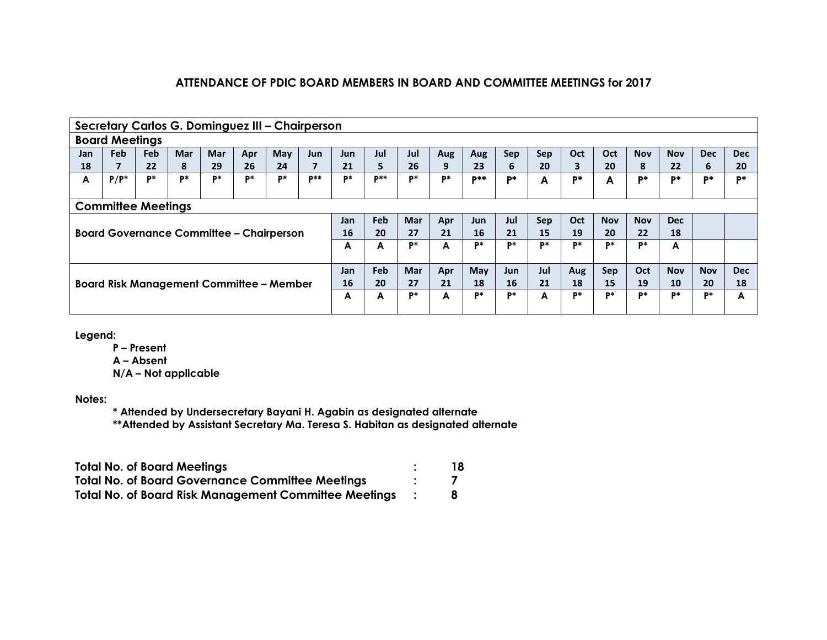|                                                                                                              | Secretary Carlos G. Dominguez III - Chairperson |            |            |            |     |                                                 |                 |            |        |            |            |                 |            |            |     |            |            |            |            |            |
|--------------------------------------------------------------------------------------------------------------|-------------------------------------------------|------------|------------|------------|-----|-------------------------------------------------|-----------------|------------|--------|------------|------------|-----------------|------------|------------|-----|------------|------------|------------|------------|------------|
|                                                                                                              | <b>Board Meetings</b>                           |            |            |            |     |                                                 |                 |            |        |            |            |                 |            |            |     |            |            |            |            |            |
| Jan                                                                                                          | Feb                                             | <b>Feb</b> | <b>Mar</b> | <b>Mar</b> | Apr | May                                             | <b>Jun</b>      | <b>Jun</b> | Jul    | Jul        | Aug        | Aug             | Sep        | <b>Sep</b> | Oct | Oct        | <b>Nov</b> | <b>Nov</b> | <b>Dec</b> | <b>Dec</b> |
| 18                                                                                                           | 7                                               | 22         | 8          | 29         | 26  | 24                                              | 7               | 21         | 5.     | 26         | 9          | 23              | 6          | 20         | 3   | 20         | 8          | 22         | 6          | 20         |
| A                                                                                                            | $P/P^*$                                         | P*         | p*         | <b>p</b> * | D*  | P*                                              | $\mathbf{p}$ ** | p*         | $D$ ** | P*         | <b>p</b> * | $\mathbf{D}$ ** | <b>D*</b>  | A          | P*  | A          | <b>D*</b>  | D*         | D*         | D*         |
|                                                                                                              |                                                 |            |            |            |     |                                                 |                 |            |        |            |            |                 |            |            |     |            |            |            |            |            |
|                                                                                                              | <b>Committee Meetings</b>                       |            |            |            |     |                                                 |                 |            |        |            |            |                 |            |            |     |            |            |            |            |            |
| Feb<br><b>Mar</b><br>Jul<br><b>Nov</b><br>Oct<br><b>Nov</b><br><b>Dec</b><br>Sep<br>Jan<br>Apr<br><b>Jun</b> |                                                 |            |            |            |     |                                                 |                 |            |        |            |            |                 |            |            |     |            |            |            |            |            |
|                                                                                                              |                                                 |            |            |            |     | <b>Board Governance Committee - Chairperson</b> |                 | 16         | 20     | 27         | 21         | 16              | 21         | 15         | 19  | 20         | 22         | 18         |            |            |
|                                                                                                              |                                                 |            |            |            |     |                                                 |                 | A          | A      | P*         | A          | P*              | D*         | P*         | D*  | P*         | p*         | A          |            |            |
|                                                                                                              |                                                 |            |            |            |     |                                                 |                 |            |        |            |            |                 |            |            |     |            |            |            |            |            |
|                                                                                                              |                                                 |            |            |            |     |                                                 |                 | Jan        | Feb    | <b>Mar</b> | Apr        | May             | <b>Jun</b> | Jul        | Aug | Sep        | <b>Oct</b> | <b>Nov</b> | <b>Nov</b> | <b>Dec</b> |
|                                                                                                              | <b>Board Risk Management Committee – Member</b> |            |            |            |     |                                                 |                 | 16         | 20     | 27         | 21         | 18              | 16         | 21         | 18  | 15         | 19         | 10         | 20         | 18         |
|                                                                                                              |                                                 |            |            |            |     |                                                 | A               | A          | P*     | A          | P*         | D*              | A          | Þ*         | P*  | <b>p</b> * | P*         | D*         | А          |            |
|                                                                                                              |                                                 |            |            |            |     |                                                 |                 |            |        |            |            |                 |            |            |     |            |            |            |            |            |

**Legend:**

**P – Present**

**A – Absent**

**N/A – Not applicable**

**Notes:**

**\* Attended by Undersecretary Bayani H. Agabin as designated alternate**

**\*\*Attended by Assistant Secretary Ma. Teresa S. Habitan as designated alternate**

| <b>Total No. of Board Meetings</b>                           | 18 |
|--------------------------------------------------------------|----|
| <b>Total No. of Board Governance Committee Meetings</b>      |    |
| <b>Total No. of Board Risk Management Committee Meetings</b> |    |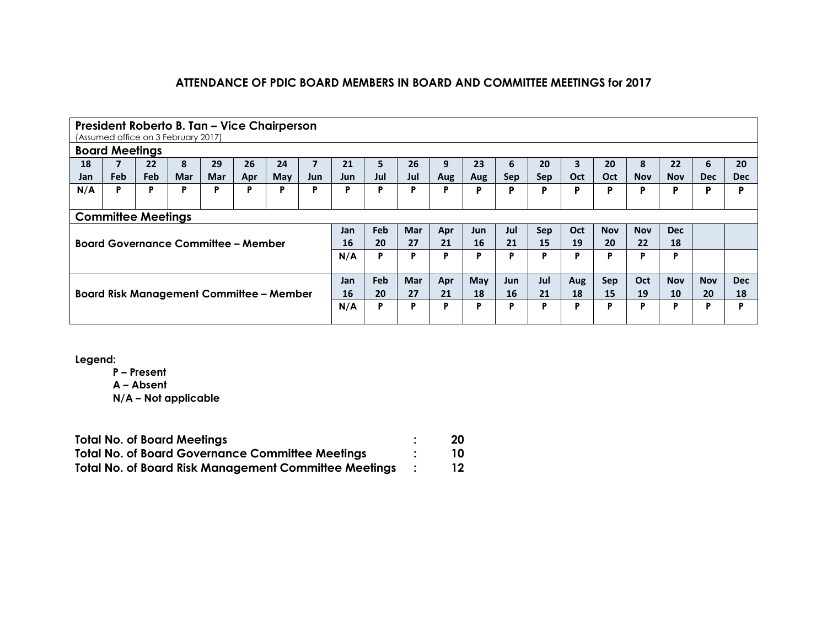|     | President Roberto B. Tan - Vice Chairperson     |            |                                            |            |     |     |                         |     |     |            |     |      |     |            |     |            |            |            |            |            |
|-----|-------------------------------------------------|------------|--------------------------------------------|------------|-----|-----|-------------------------|-----|-----|------------|-----|------|-----|------------|-----|------------|------------|------------|------------|------------|
|     | (Assumed office on 3 February 2017)             |            |                                            |            |     |     |                         |     |     |            |     |      |     |            |     |            |            |            |            |            |
|     |                                                 |            |                                            |            |     |     |                         |     |     |            |     |      |     |            |     |            |            |            |            |            |
|     | <b>Board Meetings</b>                           |            |                                            |            |     |     |                         |     |     |            |     |      |     |            |     |            |            |            |            |            |
| 18  |                                                 | 22         | 8                                          | 29         | 26  | 24  | $\overline{\mathbf{z}}$ | 21  | 5   | 26         | 9   | 23   | 6   | 20         | 3   | 20         | 8          | 22         | 6          | 20         |
| Jan | <b>Feb</b>                                      | <b>Feb</b> | Mar                                        | <b>Mar</b> | Apr | May | Jun                     | Jun | Jul | Jul        | Aug | Aug  | Sep | <b>Sep</b> | Oct | Oct        | <b>Nov</b> | <b>Nov</b> | <b>Dec</b> | <b>Dec</b> |
| N/A | P                                               | P          | P                                          | P          | P   | P   | P                       | P   | Þ   | P          | P   | P    | P   | P          | P   | P          | P          | D          |            | D          |
|     |                                                 |            |                                            |            |     |     |                         |     |     |            |     |      |     |            |     |            |            |            |            |            |
|     | <b>Committee Meetings</b>                       |            |                                            |            |     |     |                         |     |     |            |     |      |     |            |     |            |            |            |            |            |
|     |                                                 |            |                                            |            |     |     |                         |     | Feb | <b>Mar</b> | Apr | Jun. | Jul | Sep        | Oct | <b>Nov</b> | <b>Nov</b> | <b>Dec</b> |            |            |
|     |                                                 |            | <b>Board Governance Committee - Member</b> |            |     |     |                         | 16  | 20  | 27         | 21  | 16   | 21  | 15         | 19  | 20         | 22         | 18         |            |            |
|     |                                                 |            |                                            |            |     |     |                         | N/A | P   | D          | Þ   | P    | P   | D          | P   | Þ          | P          | P          |            |            |
|     |                                                 |            |                                            |            |     |     |                         |     |     |            |     |      |     |            |     |            |            |            |            |            |
|     |                                                 |            |                                            |            |     |     |                         | Jan | Feb | <b>Mar</b> | Apr | May  | Jun | Jul        | Aug | Sep        | Oct        | <b>Nov</b> | <b>Nov</b> | <b>Dec</b> |
|     | <b>Board Risk Management Committee - Member</b> |            |                                            |            |     |     |                         |     | 20  | 27         | 21  | 18   | 16  | 21         | 18  | 15         | 19         | 10         | 20         | 18         |
|     |                                                 |            |                                            |            |     |     |                         | N/A | P   | D          | D   | Þ    | P   | D          | P   | Þ          | P          | D          | D          | D          |
|     |                                                 |            |                                            |            |     |     |                         |     |     |            |     |      |     |            |     |            |            |            |            |            |

**Legend:**

**P – Present A – Absent N/A – Not applicable**

| <b>Total No. of Board Meetings</b>                           | 20 |
|--------------------------------------------------------------|----|
| <b>Total No. of Board Governance Committee Meetings</b>      | 10 |
| <b>Total No. of Board Risk Management Committee Meetings</b> |    |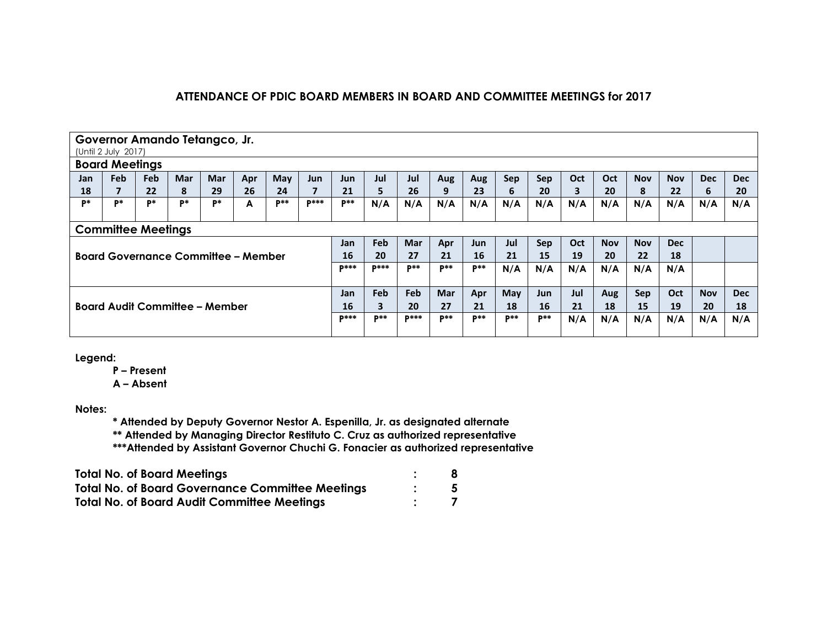|       | Governor Amando Tetangco, Jr.<br>(Until 2 July 2017) |     |                                            |     |     |            |        |             |             |              |            |       |       |       |     |            |            |            |            |            |
|-------|------------------------------------------------------|-----|--------------------------------------------|-----|-----|------------|--------|-------------|-------------|--------------|------------|-------|-------|-------|-----|------------|------------|------------|------------|------------|
|       | <b>Board Meetings</b>                                |     |                                            |     |     |            |        |             |             |              |            |       |       |       |     |            |            |            |            |            |
| Jan   | <b>Feb</b>                                           | Feb | <b>Mar</b>                                 | Mar | Apr | May        | Jun    | Jun         | Jul         | Jul          | Aug        | Aug   | Sep   | Sep   | Oct | Oct        | <b>Nov</b> | <b>Nov</b> | <b>Dec</b> | <b>Dec</b> |
| 18    |                                                      | 22  | 8                                          | 29  | 26  | 24         | 7      | 21          | 5           | 26           | 9          | 23    | 6     | 20    | 3   | 20         | 8          | 22         | 6          | 20         |
| $P^*$ | D*                                                   | P*  | P*                                         | p*  | A   | <b>D**</b> | $p***$ | <b>D**</b>  | N/A         | N/A          | N/A        | N/A   | N/A   | N/A   | N/A | N/A        | N/A        | N/A        | N/A        | N/A        |
|       |                                                      |     |                                            |     |     |            |        |             |             |              |            |       |       |       |     |            |            |            |            |            |
|       | <b>Committee Meetings</b>                            |     |                                            |     |     |            |        |             |             |              |            |       |       |       |     |            |            |            |            |            |
|       |                                                      |     |                                            |     |     |            |        |             | Feb         | <b>Mar</b>   | Apr        | Jun.  | Jul   | Sep   | Oct | <b>Nov</b> | <b>Nov</b> | <b>Dec</b> |            |            |
|       |                                                      |     | <b>Board Governance Committee - Member</b> |     |     |            |        | 16          | 20          | 27           | 21         | 16    | 21    | 15    | 19  | 20         | 22         | 18         |            |            |
|       |                                                      |     |                                            |     |     |            |        | <b>D***</b> | <b>D***</b> | $D$ **       | $p**$      | $p**$ | N/A   | N/A   | N/A | N/A        | N/A        | N/A        |            |            |
|       |                                                      |     |                                            |     |     |            |        |             |             |              |            |       |       |       |     |            |            |            |            |            |
|       |                                                      |     |                                            |     |     |            |        | Jan         | Feb         | Feb          | <b>Mar</b> | Apr   | May   | Jun   | Jul | Aug        | <b>Sep</b> | Oct        | <b>Nov</b> | <b>Dec</b> |
|       | Board Audit Committee - Member                       |     |                                            |     |     |            |        |             | 3           | 20           | 27         | 21    | 18    | 16    | 21  | 18         | 15         | 19         | 20         | 18         |
|       |                                                      |     |                                            |     |     |            |        | <b>D***</b> | $P***$      | <b>D</b> *** | $p**$      | $p**$ | $p**$ | $P**$ | N/A | N/A        | N/A        | N/A        | N/A        | N/A        |
|       |                                                      |     |                                            |     |     |            |        |             |             |              |            |       |       |       |     |            |            |            |            |            |

**Legend:**

**P – Present**

**A – Absent**

**Notes:**

**\* Attended by Deputy Governor Nestor A. Espenilla, Jr. as designated alternate**

**\*\* Attended by Managing Director Restituto C. Cruz as authorized representative**

**\*\*\*Attended by Assistant Governor Chuchi G. Fonacier as authorized representative**

| <b>Total No. of Board Meetings</b>                      |  |
|---------------------------------------------------------|--|
| <b>Total No. of Board Governance Committee Meetings</b> |  |
| <b>Total No. of Board Audit Committee Meetings</b>      |  |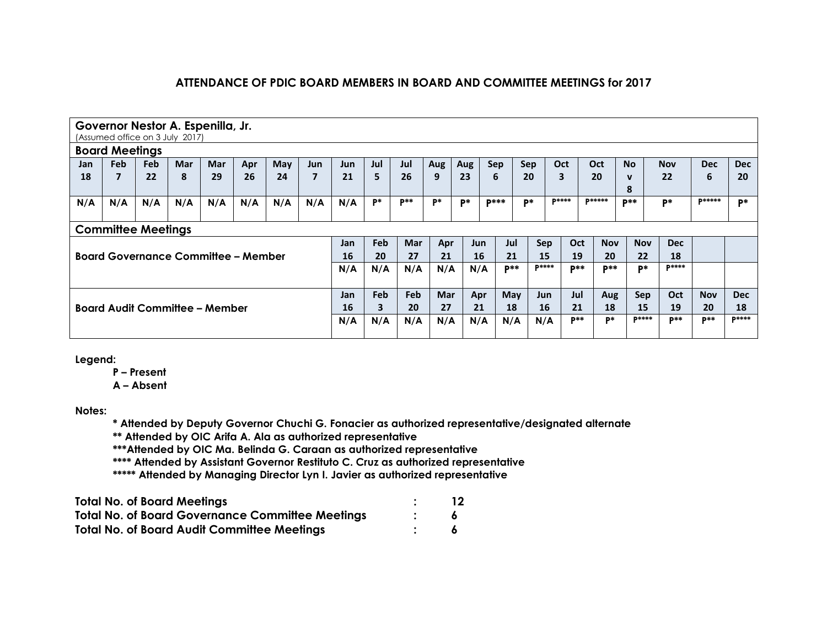|                           | Governor Nestor A. Espenilla, Jr. |     |     |            |                                            |     |                |            |                         |            |            |     |              |       |              |             |               |              |              |               |              |
|---------------------------|-----------------------------------|-----|-----|------------|--------------------------------------------|-----|----------------|------------|-------------------------|------------|------------|-----|--------------|-------|--------------|-------------|---------------|--------------|--------------|---------------|--------------|
|                           | (Assumed office on 3 July 2017)   |     |     |            |                                            |     |                |            |                         |            |            |     |              |       |              |             |               |              |              |               |              |
| <b>Board Meetings</b>     |                                   |     |     |            |                                            |     |                |            |                         |            |            |     |              |       |              |             |               |              |              |               |              |
| Jan                       | <b>Feb</b>                        | Feb | Mar | <b>Mar</b> | Apr                                        | May | Jun            | <b>Jun</b> | Jul                     | Jul        | Aug        | Aug | Sep          | Sep   |              | Oct         | Oct           | <b>No</b>    | <b>Nov</b>   | <b>Dec</b>    | <b>Dec</b>   |
| 18                        | 7                                 | 22  | 8   | 29         | 26                                         | 24  | $\overline{7}$ | 21         | 5                       | 26         | 9          | 23  | 6            | 20    |              | 3           | 20            | $\mathbf{v}$ | 22           | 6             | 20           |
|                           |                                   |     |     |            |                                            |     |                |            |                         |            |            |     |              |       |              |             |               | 8            |              |               |              |
| N/A                       | N/A                               | N/A | N/A | N/A        | N/A                                        | N/A | N/A            | N/A        | P*                      | $P**$      | P*         | P*  | <b>D</b> *** | D*    |              | $D****$     | <b>D*****</b> | $D$ **       | $P*$         | <b>D*****</b> | <b>D*</b>    |
|                           |                                   |     |     |            |                                            |     |                |            |                         |            |            |     |              |       |              |             |               |              |              |               |              |
| <b>Committee Meetings</b> |                                   |     |     |            |                                            |     |                |            |                         |            |            |     |              |       |              |             |               |              |              |               |              |
|                           |                                   |     |     |            |                                            |     |                | Jan        | Feb                     | <b>Mar</b> | Apr        |     | <b>Jun</b>   | Jul   | Sep          | Oct         | <b>Nov</b>    | <b>Nov</b>   | <b>Dec</b>   |               |              |
|                           |                                   |     |     |            | <b>Board Governance Committee - Member</b> |     |                | 16         | 20                      | 27         | 21         |     | 16           | 21    | 15           | 19          | 20            | 22           | 18           |               |              |
|                           |                                   |     |     |            |                                            |     |                | N/A        | N/A                     | N/A        | N/A        |     | N/A          | $P**$ | <b>D****</b> | <b>D</b> ** | $P***$        | P*           | <b>P****</b> |               |              |
|                           |                                   |     |     |            |                                            |     |                |            |                         |            |            |     |              |       |              |             |               |              |              |               |              |
|                           |                                   |     |     |            |                                            |     |                | <b>Jan</b> | Feb                     | <b>Feb</b> | <b>Mar</b> |     | Apr          | May   | <b>Jun</b>   | Jul         | Aug           | <b>Sep</b>   | Oct          | <b>Nov</b>    | <b>Dec</b>   |
|                           | Board Audit Committee – Member    |     |     |            |                                            |     |                | 16         | $\overline{\mathbf{3}}$ | 20         | 27         |     | 21           | 18    | 16           | 21          | 18            | 15           | 19           | 20            | 18           |
|                           |                                   |     |     |            |                                            |     |                | N/A        | N/A                     | N/A        | N/A        |     | N/A          | N/A   | N/A          | $p**$       | <b>D*</b>     | $D****$      | $P^{**}$     | $p**$         | <b>D****</b> |
|                           |                                   |     |     |            |                                            |     |                |            |                         |            |            |     |              |       |              |             |               |              |              |               |              |

**Legend:**

**P – Present**

**A – Absent**

**Notes:**

**\* Attended by Deputy Governor Chuchi G. Fonacier as authorized representative/designated alternate**

**\*\* Attended by OIC Arifa A. Ala as authorized representative**

**\*\*\*Attended by OIC Ma. Belinda G. Caraan as authorized representative**

**\*\*\*\* Attended by Assistant Governor Restituto C. Cruz as authorized representative** 

**\*\*\*\*\* Attended by Managing Director Lyn I. Javier as authorized representative**

| <b>Total No. of Board Meetings</b>                      | 12 |
|---------------------------------------------------------|----|
| <b>Total No. of Board Governance Committee Meetings</b> |    |
| <b>Total No. of Board Audit Committee Meetings</b>      |    |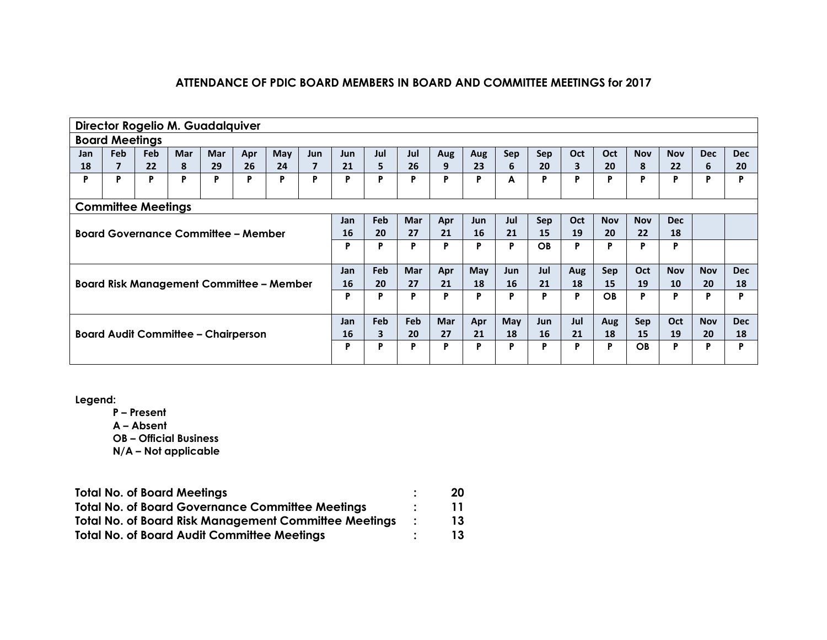|                                            | Director Rogelio M. Guadalquiver |            |            |            |     |                                                 |                |            |     |            |            |            |     |            |     |            |            |            |            |            |
|--------------------------------------------|----------------------------------|------------|------------|------------|-----|-------------------------------------------------|----------------|------------|-----|------------|------------|------------|-----|------------|-----|------------|------------|------------|------------|------------|
|                                            | <b>Board Meetings</b>            |            |            |            |     |                                                 |                |            |     |            |            |            |     |            |     |            |            |            |            |            |
| Jan                                        | <b>Feb</b>                       | <b>Feb</b> | <b>Mar</b> | <b>Mar</b> | Apr | <b>May</b>                                      | <b>Jun</b>     | <b>Jun</b> | Jul | Jul        | Aug        | Aug        | Sep | Sep        | Oct | Oct        | <b>Nov</b> | <b>Nov</b> | <b>Dec</b> | <b>Dec</b> |
| 18                                         | $\overline{\mathbf{z}}$          | 22         | 8          | 29         | 26  | 24                                              | $\overline{7}$ | 21         | 5   | 26         | 9          | 23         | 6   | 20         | 3   | 20         | 8          | 22         | 6          | 20         |
| P                                          | P                                | P          | P          | P          | P   | P                                               | P              | P          | P   | P          | P          | P          | A   | P          | P   | P          | P          | P          | P          | P          |
|                                            |                                  |            |            |            |     |                                                 |                |            |     |            |            |            |     |            |     |            |            |            |            |            |
|                                            | <b>Committee Meetings</b>        |            |            |            |     |                                                 |                |            |     |            |            |            |     |            |     |            |            |            |            |            |
|                                            |                                  |            |            |            |     |                                                 |                | Jan        | Feb | <b>Mar</b> | Apr        | <b>Jun</b> | Jul | Sep        | Oct | <b>Nov</b> | <b>Nov</b> | <b>Dec</b> |            |            |
| <b>Board Governance Committee - Member</b> |                                  |            |            |            |     |                                                 |                | 16         | 20  | 27         | 21         | 16         | 21  | 15         | 19  | 20         | 22         | 18         |            |            |
|                                            |                                  |            |            |            |     |                                                 |                | P          | P   | P          | P          | P          | P   | OB         | P   | P          | P          | P          |            |            |
|                                            |                                  |            |            |            |     |                                                 |                | Jan        | Feb | <b>Mar</b> | Apr        | May        | Jun | Jul        | Aug | Sep        | Oct        | <b>Nov</b> | <b>Nov</b> | <b>Dec</b> |
|                                            |                                  |            |            |            |     | <b>Board Risk Management Committee - Member</b> |                | 16         | 20  | 27         | 21         | 18         | 16  | 21         | 18  | 15         | 19         | 10         | 20         | 18         |
|                                            |                                  |            |            |            |     |                                                 |                | P          | P   | P          | P          | P          | P   | P          | P   | OB         | P          | P          | P          | P          |
|                                            |                                  |            |            |            |     |                                                 |                | <b>Jan</b> | Feb | Feb        | <b>Mar</b> | Apr        | May | <b>Jun</b> | Jul | Aug        | Sep        | Oct        | <b>Nov</b> | <b>Dec</b> |
| <b>Board Audit Committee - Chairperson</b> |                                  |            |            |            |     |                                                 |                | 16         | 3   | 20         | 27         | 21         | 18  | 16         | 21  | 18         | 15         | 19         | 20         | 18         |
|                                            |                                  |            |            |            |     |                                                 |                | P          | P   | P          | Р          | P          | P   | P          | P   | P          | OB.        | P          | D          | D          |
|                                            |                                  |            |            |            |     |                                                 |                |            |     |            |            |            |     |            |     |            |            |            |            |            |

**Legend:**

**P – Present**

- **A – Absent**
- **OB – Official Business**

| <b>Total No. of Board Meetings</b>                           | -20       |
|--------------------------------------------------------------|-----------|
| <b>Total No. of Board Governance Committee Meetings</b>      | <b>11</b> |
| <b>Total No. of Board Risk Management Committee Meetings</b> | 13        |
| <b>Total No. of Board Audit Committee Meetings</b>           | 13.       |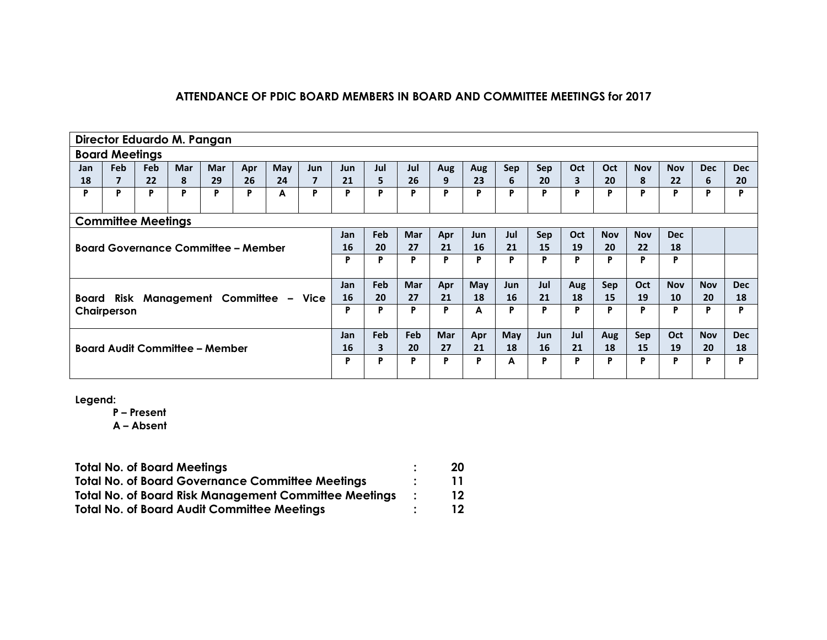|                                                 | Director Eduardo M. Pangan |            |            |            |     |            |                         |            |     |            |            |            |            |            |            |            |            |            |            |            |
|-------------------------------------------------|----------------------------|------------|------------|------------|-----|------------|-------------------------|------------|-----|------------|------------|------------|------------|------------|------------|------------|------------|------------|------------|------------|
|                                                 | <b>Board Meetings</b>      |            |            |            |     |            |                         |            |     |            |            |            |            |            |            |            |            |            |            |            |
| Jan                                             | Feb                        | <b>Feb</b> | <b>Mar</b> | <b>Mar</b> | Apr | <b>May</b> | <b>Jun</b>              | <b>Jun</b> | Jul | Jul        | Aug        | Aug        | Sep        | Sep        | Oct        | Oct        | <b>Nov</b> | <b>Nov</b> | <b>Dec</b> | <b>Dec</b> |
| 18                                              | 7                          | 22         | 8          | 29         | 26  | 24         | $\overline{\mathbf{z}}$ | 21         | 5   | 26         | 9          | 23         | 6          | 20         | 3          | 20         | 8          | 22         | 6          | 20         |
| P                                               | P                          | P          | P          | P          | P   | A          | P                       | P          | P   | P          | P          | P          | P          | P          | P          | P          | P          | P          | P          | D          |
|                                                 |                            |            |            |            |     |            |                         |            |     |            |            |            |            |            |            |            |            |            |            |            |
|                                                 | <b>Committee Meetings</b>  |            |            |            |     |            |                         |            |     |            |            |            |            |            |            |            |            |            |            |            |
|                                                 |                            |            |            |            |     | Jan        | <b>Feb</b>              | <b>Mar</b> | Apr | Jun        | Jul        | <b>Sep</b> | Oct        | <b>Nov</b> | <b>Nov</b> | <b>Dec</b> |            |            |            |            |
| <b>Board Governance Committee - Member</b>      |                            |            |            |            |     |            |                         | 16         | 20  | 27         | 21         | 16         | 21         | 15         | 19         | 20         | 22         | 18         |            |            |
|                                                 |                            |            |            |            |     |            |                         | P          | P   | P          | P          | P          | P          | P          | P          | P          | P          | P          |            |            |
|                                                 |                            |            |            |            |     |            |                         | Jan        | Feb | <b>Mar</b> | Apr        | May        | <b>Jun</b> | Jul        | Aug        | <b>Sep</b> | <b>Oct</b> | <b>Nov</b> | <b>Nov</b> | <b>Dec</b> |
| Board                                           |                            |            |            |            |     |            |                         | 16         | 20  | 27         | 21         | 18         | 16         | 21         | 18         | 15         | 19         | 10         | 20         | 18         |
| Risk Management Committee - Vice<br>Chairperson |                            |            |            |            |     |            | P                       | P          | P   |            | A          | P          | Ρ          | P          | P          | P          | P          | P          | D          |            |
|                                                 |                            |            |            |            |     |            |                         | Jan        | Feb | Feb        | <b>Mar</b> | Apr        | May        | <b>Jun</b> | Jul        | Aug        | Sep        | Oct        | <b>Nov</b> | <b>Dec</b> |
| <b>Board Audit Committee - Member</b>           |                            |            |            |            |     |            |                         | 16         | 3   | 20         | 27         | 21         | 18         | 16         | 21         | 18         | 15         | 19         | 20         | 18         |
|                                                 |                            |            |            |            |     |            |                         | P          | P   | P          | P          | P          | A          | P          | P          | P          | P          | P          | P          | Þ          |

**Legend:**

**P – Present**

**A – Absent**

| <b>Total No. of Board Meetings</b>                           | 20  |
|--------------------------------------------------------------|-----|
| <b>Total No. of Board Governance Committee Meetings</b>      |     |
| <b>Total No. of Board Risk Management Committee Meetings</b> | 12  |
| <b>Total No. of Board Audit Committee Meetings</b>           | 12. |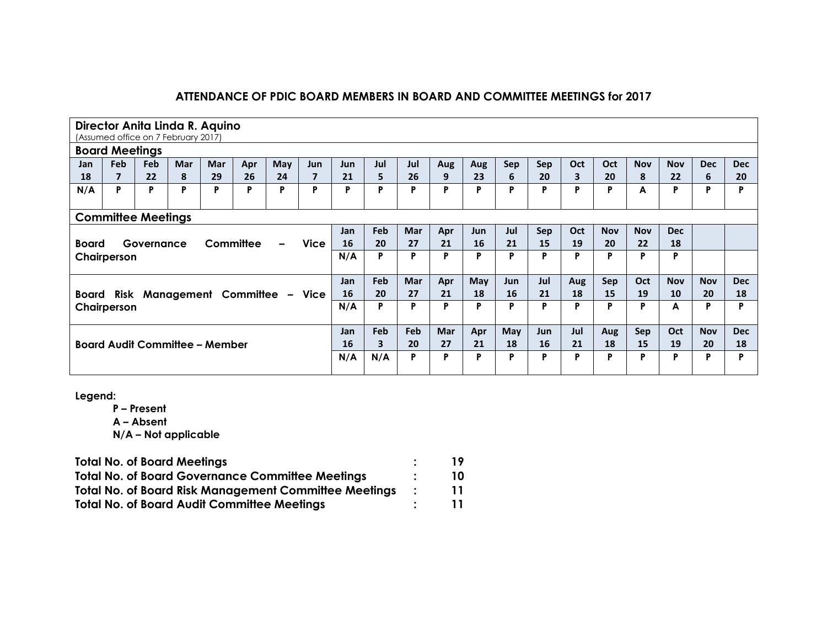|                                                             | Director Anita Linda R. Aquino<br>(Assumed office on 7 February 2017) |            |            |            |     |                             |                |            |     |            |            |     |           |            |     |            |            |            |            |            |
|-------------------------------------------------------------|-----------------------------------------------------------------------|------------|------------|------------|-----|-----------------------------|----------------|------------|-----|------------|------------|-----|-----------|------------|-----|------------|------------|------------|------------|------------|
|                                                             | <b>Board Meetings</b>                                                 |            |            |            |     |                             |                |            |     |            |            |     |           |            |     |            |            |            |            |            |
| Jan                                                         | Feb                                                                   | <b>Feb</b> | <b>Mar</b> | <b>Mar</b> | Apr | <b>May</b>                  | <b>Jun</b>     | <b>Jun</b> | Jul | Jul        | Aug        | Aug | Sep       | <b>Sep</b> | Oct | Oct        | <b>Nov</b> | <b>Nov</b> | <b>Dec</b> | <b>Dec</b> |
| 18                                                          | $\overline{ }$                                                        | 22         | 8          | 29         | 26  | 24                          | $\overline{7}$ | 21         | 5   | 26         | 9          | 23  | 6         | 20         | 3   | 20         | 8          | 22         | 6          | 20         |
| N/A                                                         | P                                                                     | P          | P          | P          | P   | P                           | P              | P          | P   | P          | P          | P   | P         | P          | P   | P          | A          | P          | P          | D          |
|                                                             |                                                                       |            |            |            |     |                             |                |            |     |            |            |     |           |            |     |            |            |            |            |            |
|                                                             | <b>Committee Meetings</b>                                             |            |            |            |     |                             |                |            |     |            |            |     |           |            |     |            |            |            |            |            |
|                                                             |                                                                       |            |            |            |     |                             |                | Jan        | Feb | <b>Mar</b> | Apr        | Jun | Jul       | Sep        | Oct | <b>Nov</b> | <b>Nov</b> | <b>Dec</b> |            |            |
| <b>Vice</b><br>Committee<br>Governance<br><b>Board</b><br>- |                                                                       |            |            |            |     |                             |                | 16         | 20  | 27         | 21         | 16  | 21        | 15         | 19  | 20         | 22         | 18         |            |            |
| Chairperson                                                 |                                                                       |            |            |            |     |                             | N/A            | P          | P   | P          | P          | P   | P         | P          | P   | P          | P          |            |            |            |
|                                                             |                                                                       |            |            |            |     |                             |                | Jan        | Feb | <b>Mar</b> | Apr        | May | Jun       | Jul        | Aug | <b>Sep</b> | Oct        | <b>Nov</b> | <b>Nov</b> | <b>Dec</b> |
| Board                                                       | Risk                                                                  |            |            |            |     | Management Committee - Vice |                | 16         | 20  | 27         | 21         | 18  | <b>16</b> | 21         | 18  | 15         | 19         | 10         | 20         | 18         |
| Chairperson                                                 |                                                                       |            |            |            |     |                             | N/A            | P          | P   | P          | P          | P   | P         | P          | P   | P          | A          | P          | D          |            |
|                                                             |                                                                       |            |            |            |     |                             |                | Jan        | Feb | Feb        | <b>Mar</b> | Apr | May       | Jun        | Jul | Aug        | <b>Sep</b> | Oct        | <b>Nov</b> | <b>Dec</b> |
| <b>Board Audit Committee - Member</b>                       |                                                                       |            |            |            |     |                             |                | 16         | 3   | 20         | 27         | 21  | 18        | 16         | 21  | 18         | 15         | 19         | 20         | 18         |
|                                                             |                                                                       |            |            |            |     |                             |                | N/A        | N/A | P          | P          | P   | P         | P          | P   | P          | P          | P          | P          | D          |

**Legend:**

**P – Present**

**A – Absent**

| <b>Total No. of Board Meetings</b>                           | 19 |
|--------------------------------------------------------------|----|
| <b>Total No. of Board Governance Committee Meetings</b>      | 10 |
| <b>Total No. of Board Risk Management Committee Meetings</b> | 11 |
| <b>Total No. of Board Audit Committee Meetings</b>           | 11 |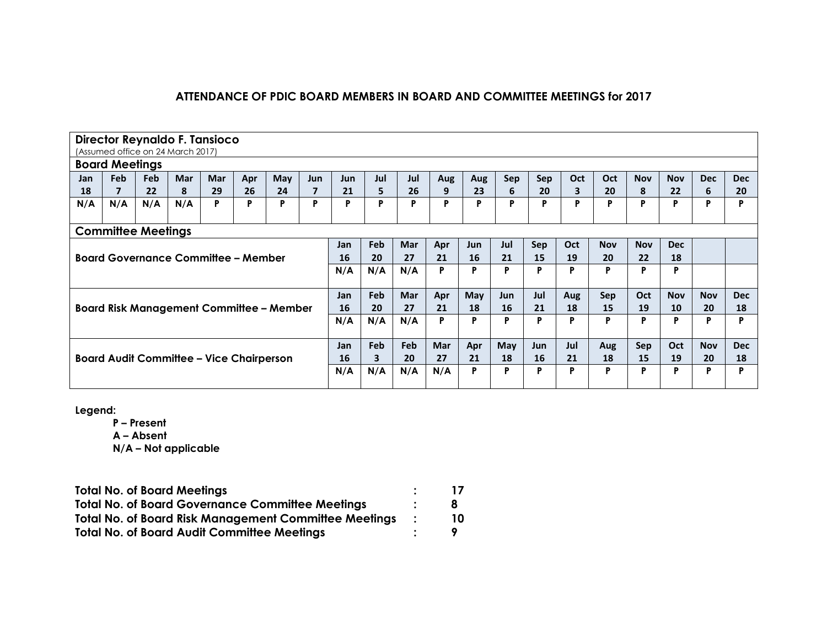|                                                 | Director Reynaldo F. Tansioco     |            |                                               |    |    |    |                         |     |            |            |            |            |            |            |            |            |            |            |            |            |
|-------------------------------------------------|-----------------------------------|------------|-----------------------------------------------|----|----|----|-------------------------|-----|------------|------------|------------|------------|------------|------------|------------|------------|------------|------------|------------|------------|
|                                                 | (Assumed office on 24 March 2017) |            |                                               |    |    |    |                         |     |            |            |            |            |            |            |            |            |            |            |            |            |
|                                                 | <b>Board Meetings</b>             |            |                                               |    |    |    |                         |     |            |            |            |            |            |            |            |            |            |            |            |            |
| Jan                                             | <b>Feb</b>                        | <b>Feb</b> | <b>Mar</b><br>Mar<br>May<br><b>Jun</b><br>Apr |    |    |    |                         |     | Jul        | Jul        | Aug        | Aug        | Sep        | Sep        | <b>Oct</b> | Oct        | <b>Nov</b> | <b>Nov</b> | <b>Dec</b> | <b>Dec</b> |
| 18                                              | $\overline{\mathbf{z}}$           | 22         | 8                                             | 29 | 26 | 24 | $\overline{\mathbf{z}}$ | 21  | 5          | 26         | 9          | 23         | 6          | 20         | 3          | 20         | 8          | 22         | 6          | 20         |
| N/A                                             | N/A                               | N/A        | N/A                                           | P  | P  | P  | P                       | P   | P          | P          | P          | P          | P          | P          | P          | P          | P          | P          | P          | Þ          |
|                                                 |                                   |            |                                               |    |    |    |                         |     |            |            |            |            |            |            |            |            |            |            |            |            |
|                                                 | <b>Committee Meetings</b>         |            |                                               |    |    |    |                         |     |            |            |            |            |            |            |            |            |            |            |            |            |
|                                                 |                                   |            |                                               |    |    |    |                         | Jan | <b>Feb</b> | <b>Mar</b> | Apr        | <b>Jun</b> | Jul        | Sep        | Oct        | <b>Nov</b> | <b>Nov</b> | <b>Dec</b> |            |            |
|                                                 |                                   |            | <b>Board Governance Committee – Member</b>    |    |    |    |                         | 16  | 20         | 27         | 21         | 16         | 21         | 15         | 19         | 20         | 22         | 18         |            |            |
|                                                 |                                   |            |                                               |    |    |    | N/A                     | N/A | N/A        | P          | P          | P          | Þ          | P          | P          | P          | P          |            |            |            |
|                                                 |                                   |            |                                               |    |    |    |                         |     |            |            |            |            |            |            |            |            |            |            |            |            |
|                                                 |                                   |            |                                               |    |    |    |                         | Jan | <b>Feb</b> | <b>Mar</b> | Apr        | May        | <b>Jun</b> | Jul        | Aug        | <b>Sep</b> | Oct        | <b>Nov</b> | <b>Nov</b> | <b>Dec</b> |
|                                                 |                                   |            |                                               |    |    |    |                         | 16  | 20         | 27         | 21         | 18         | 16         | 21         | 18         | 15         | 19         | 10         | 20         | 18         |
| <b>Board Risk Management Committee - Member</b> |                                   |            |                                               |    |    |    |                         | N/A | N/A        | N/A        | P          | P          | P          | P          | P          | P          | P          | P          | P          | P          |
|                                                 |                                   |            |                                               |    |    |    |                         |     |            |            |            |            |            |            |            |            |            |            |            |            |
|                                                 |                                   |            |                                               |    |    |    |                         | Jan | <b>Feb</b> | <b>Feb</b> | <b>Mar</b> | Apr        | May        | <b>Jun</b> | Jul        | Aug        | <b>Sep</b> | Oct        | <b>Nov</b> | <b>Dec</b> |
| <b>Board Audit Committee – Vice Chairperson</b> |                                   |            |                                               |    |    |    |                         | 16  | 3          | 20         | 27         | 21         | 18         | 16         | 21         | 18         | 15         | 19         | 20         | 18         |
|                                                 |                                   |            |                                               |    |    |    | N/A                     | N/A | N/A        | N/A        | P          | P          | P          | P          | P          | P          | P          | P          | P          |            |
|                                                 |                                   |            |                                               |    |    |    |                         |     |            |            |            |            |            |            |            |            |            |            |            |            |

**Legend:**

**P – Present A – Absent**

| <b>Total No. of Board Meetings</b>                           |     |
|--------------------------------------------------------------|-----|
| <b>Total No. of Board Governance Committee Meetings</b>      | 8   |
| <b>Total No. of Board Risk Management Committee Meetings</b> | 10. |
| <b>Total No. of Board Audit Committee Meetings</b>           |     |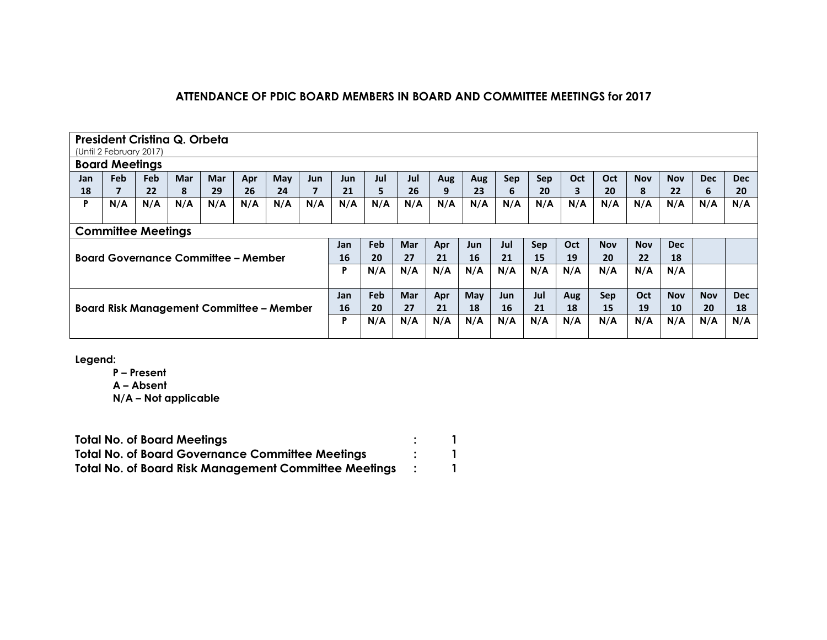|                                                 | President Cristina Q. Orbeta<br>(Until 2 February 2017) |     |            |     |                                            |     |     |     |     |            |     |            |           |     |     |            |            |            |            |            |
|-------------------------------------------------|---------------------------------------------------------|-----|------------|-----|--------------------------------------------|-----|-----|-----|-----|------------|-----|------------|-----------|-----|-----|------------|------------|------------|------------|------------|
|                                                 | <b>Board Meetings</b>                                   |     |            |     |                                            |     |     |     |     |            |     |            |           |     |     |            |            |            |            |            |
| Jan                                             | <b>Feb</b>                                              | Feb | <b>Mar</b> | Mar | Apr                                        | May | Jun | Jun | Jul | Jul        | Aug | Aug        | Sep       | Sep | Oct | Oct        | <b>Nov</b> | <b>Nov</b> | <b>Dec</b> | <b>Dec</b> |
| 18                                              |                                                         | 22  | 8          | 29  | 26                                         | 24  | 7   | 21  | 5.  | 26         | 9   | 23         | 6         | 20  | 3   | 20         | 8          | 22         | 6          | 20         |
| <b>P</b>                                        | N/A                                                     | N/A | N/A        | N/A | N/A                                        | N/A | N/A | N/A | N/A | N/A        | N/A | N/A        | N/A       | N/A | N/A | N/A        | N/A        | N/A        | N/A        | N/A        |
|                                                 |                                                         |     |            |     |                                            |     |     |     |     |            |     |            |           |     |     |            |            |            |            |            |
|                                                 | <b>Committee Meetings</b>                               |     |            |     |                                            |     |     |     |     |            |     |            |           |     |     |            |            |            |            |            |
|                                                 |                                                         |     |            |     |                                            |     |     |     | Feb | <b>Mar</b> | Apr | <b>Jun</b> | Jul       | Sep | Oct | <b>Nov</b> | <b>Nov</b> | <b>Dec</b> |            |            |
|                                                 |                                                         |     |            |     | <b>Board Governance Committee - Member</b> |     |     | 16  | 20  | 27         | 21  | 16         | 21        | 15  | 19  | 20         | 22         | 18         |            |            |
|                                                 |                                                         |     |            |     |                                            |     |     | P   | N/A | N/A        | N/A | N/A        | N/A       | N/A | N/A | N/A        | N/A        | N/A        |            |            |
|                                                 |                                                         |     |            |     |                                            |     |     |     |     |            |     |            |           |     |     |            |            |            |            |            |
|                                                 |                                                         |     |            |     |                                            |     |     | Jan | Feb | Mar        | Apr | May        | Jun       | Jul | Aug | <b>Sep</b> | <b>Oct</b> | <b>Nov</b> | <b>Nov</b> | <b>Dec</b> |
| <b>Board Risk Management Committee - Member</b> |                                                         |     |            |     |                                            |     |     | 16  | 20  | 27         | 21  | 18         | <b>16</b> | 21  | 18  | 15         | 19         | 10         | 20         | 18         |
|                                                 |                                                         |     |            |     |                                            |     |     | P   | N/A | N/A        | N/A | N/A        | N/A       | N/A | N/A | N/A        | N/A        | N/A        | N/A        | N/A        |
|                                                 |                                                         |     |            |     |                                            |     |     |     |     |            |     |            |           |     |     |            |            |            |            |            |

**Legend:**

**P – Present A – Absent N/A – Not applicable**

| <b>Total No. of Board Meetings</b>                           |  |
|--------------------------------------------------------------|--|
| <b>Total No. of Board Governance Committee Meetings</b>      |  |
| <b>Total No. of Board Risk Management Committee Meetings</b> |  |